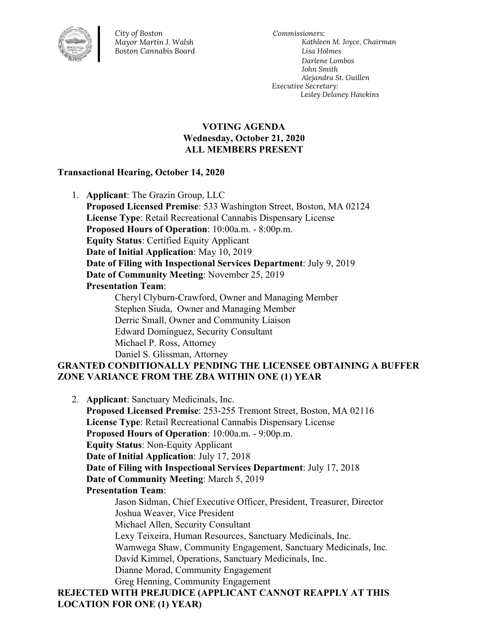

*City of Boston Mayor Martin J. Walsh Boston Cannabis Board*

*Commissioners: Kathleen M. Joyce, Chairman Lisa Holmes Darlene Lombos John Smith Alejandra St. Guillen Executive Secretary: Lesley Delaney Hawkins*

#### **VOTING AGENDA Wednesday, October 21, 2020 ALL MEMBERS PRESENT**

#### **Transactional Hearing, October 14, 2020**

1. **Applicant**: The Grazin Group, LLC **Proposed Licensed Premise**: 533 Washington Street, Boston, MA 02124 **License Type**: Retail Recreational Cannabis Dispensary License **Proposed Hours of Operation**: 10:00a.m. - 8:00p.m. **Equity Status**: Certified Equity Applicant **Date of Initial Application**: May 10, 2019 **Date of Filing with Inspectional Services Department**: July 9, 2019 **Date of Community Meeting**: November 25, 2019 **Presentation Team**: Cheryl Clyburn-Crawford, Owner and Managing Member Stephen Siuda, Owner and Managing Member Derric Small, Owner and Community Liaison Edward Dominguez, Security Consultant Michael P. Ross, Attorney Daniel S. Glissman, Attorney **GRANTED CONDITIONALLY PENDING THE LICENSEE OBTAINING A BUFFER**

# **ZONE VARIANCE FROM THE ZBA WITHIN ONE (1) YEAR**

2. **Applicant**: Sanctuary Medicinals, Inc. **Proposed Licensed Premise**: 253-255 Tremont Street, Boston, MA 02116 **License Type**: Retail Recreational Cannabis Dispensary License **Proposed Hours of Operation**: 10:00a.m. - 9:00p.m. **Equity Status**: Non-Equity Applicant **Date of Initial Application**: July 17, 2018 **Date of Filing with Inspectional Services Department**: July 17, 2018 **Date of Community Meeting**: March 5, 2019 **Presentation Team**: Jason Sidman, Chief Executive Officer, President, Treasurer, Director Joshua Weaver, Vice President Michael Allen, Security Consultant Lexy Teixeira, Human Resources, Sanctuary Medicinals, Inc. Wamwega Shaw, Community Engagement, Sanctuary Medicinals, Inc. David Kimmel, Operations, Sanctuary Medicinals, Inc. Dianne Morad, Community Engagement Greg Henning, Community Engagement **REJECTED WITH PREJUDICE (APPLICANT CANNOT REAPPLY AT THIS LOCATION FOR ONE (1) YEAR)**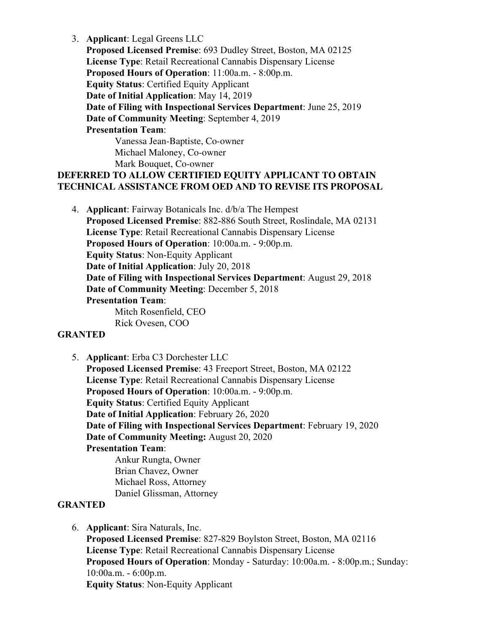3. **Applicant**: Legal Greens LLC

**Proposed Licensed Premise**: 693 Dudley Street, Boston, MA 02125 **License Type**: Retail Recreational Cannabis Dispensary License **Proposed Hours of Operation**: 11:00a.m. - 8:00p.m. **Equity Status**: Certified Equity Applicant **Date of Initial Application**: May 14, 2019 **Date of Filing with Inspectional Services Department**: June 25, 2019 **Date of Community Meeting**: September 4, 2019 **Presentation Team**: Vanessa Jean-Baptiste, Co-owner Michael Maloney, Co-owner

Mark Bouquet, Co-owner

# **DEFERRED TO ALLOW CERTIFIED EQUITY APPLICANT TO OBTAIN TECHNICAL ASSISTANCE FROM OED AND TO REVISE ITS PROPOSAL**

4. **Applicant**: Fairway Botanicals Inc. d/b/a The Hempest **Proposed Licensed Premise**: 882-886 South Street, Roslindale, MA 02131 **License Type**: Retail Recreational Cannabis Dispensary License **Proposed Hours of Operation**: 10:00a.m. - 9:00p.m. **Equity Status**: Non-Equity Applicant **Date of Initial Application**: July 20, 2018 **Date of Filing with Inspectional Services Department**: August 29, 2018 **Date of Community Meeting**: December 5, 2018 **Presentation Team**: Mitch Rosenfield, CEO

Rick Ovesen, COO

#### **GRANTED**

5. **Applicant**: Erba C3 Dorchester LLC **Proposed Licensed Premise**: 43 Freeport Street, Boston, MA 02122 **License Type**: Retail Recreational Cannabis Dispensary License **Proposed Hours of Operation**: 10:00a.m. - 9:00p.m. **Equity Status**: Certified Equity Applicant **Date of Initial Application**: February 26, 2020 **Date of Filing with Inspectional Services Department**: February 19, 2020 **Date of Community Meeting:** August 20, 2020 **Presentation Team**: Ankur Rungta, Owner Brian Chavez, Owner Michael Ross, Attorney

Daniel Glissman, Attorney

#### **GRANTED**

6. **Applicant**: Sira Naturals, Inc.

**Proposed Licensed Premise**: 827-829 Boylston Street, Boston, MA 02116 **License Type**: Retail Recreational Cannabis Dispensary License **Proposed Hours of Operation**: Monday - Saturday: 10:00a.m. - 8:00p.m.; Sunday: 10:00a.m. - 6:00p.m. **Equity Status**: Non-Equity Applicant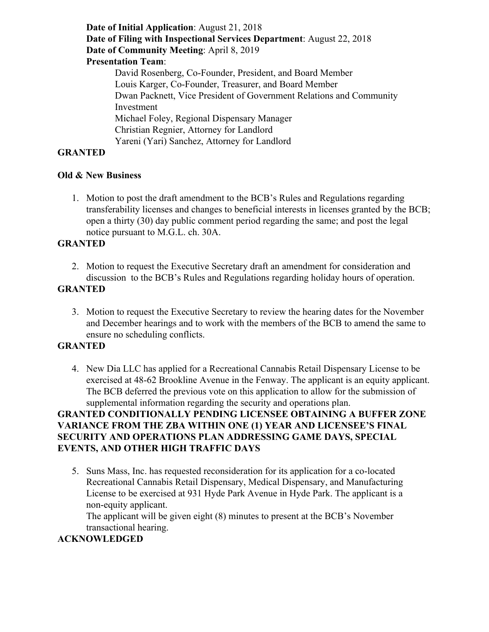**Date of Initial Application**: August 21, 2018 **Date of Filing with Inspectional Services Department**: August 22, 2018 **Date of Community Meeting**: April 8, 2019 **Presentation Team**: David Rosenberg, Co-Founder, President, and Board Member Louis Karger, Co-Founder, Treasurer, and Board Member Dwan Packnett, Vice President of Government Relations and Community Investment Michael Foley, Regional Dispensary Manager Christian Regnier, Attorney for Landlord Yareni (Yari) Sanchez, Attorney for Landlord

#### **GRANTED**

#### **Old & New Business**

1. Motion to post the draft amendment to the BCB's Rules and Regulations regarding transferability licenses and changes to beneficial interests in licenses granted by the BCB; open a thirty (30) day public comment period regarding the same; and post the legal notice pursuant to M.G.L. ch. 30A.

# **GRANTED**

2. Motion to request the Executive Secretary draft an amendment for consideration and discussion to the BCB's Rules and Regulations regarding holiday hours of operation.

# **GRANTED**

3. Motion to request the Executive Secretary to review the hearing dates for the November and December hearings and to work with the members of the BCB to amend the same to ensure no scheduling conflicts.

#### **GRANTED**

4. New Dia LLC has applied for a Recreational Cannabis Retail Dispensary License to be exercised at 48-62 Brookline Avenue in the Fenway. The applicant is an equity applicant. The BCB deferred the previous vote on this application to allow for the submission of supplemental information regarding the security and operations plan.

# **GRANTED CONDITIONALLY PENDING LICENSEE OBTAINING A BUFFER ZONE VARIANCE FROM THE ZBA WITHIN ONE (1) YEAR AND LICENSEE'S FINAL SECURITY AND OPERATIONS PLAN ADDRESSING GAME DAYS, SPECIAL EVENTS, AND OTHER HIGH TRAFFIC DAYS**

5. Suns Mass, Inc. has requested reconsideration for its application for a co-located Recreational Cannabis Retail Dispensary, Medical Dispensary, and Manufacturing License to be exercised at 931 Hyde Park Avenue in Hyde Park. The applicant is a non-equity applicant.

The applicant will be given eight (8) minutes to present at the BCB's November transactional hearing.

#### **ACKNOWLEDGED**